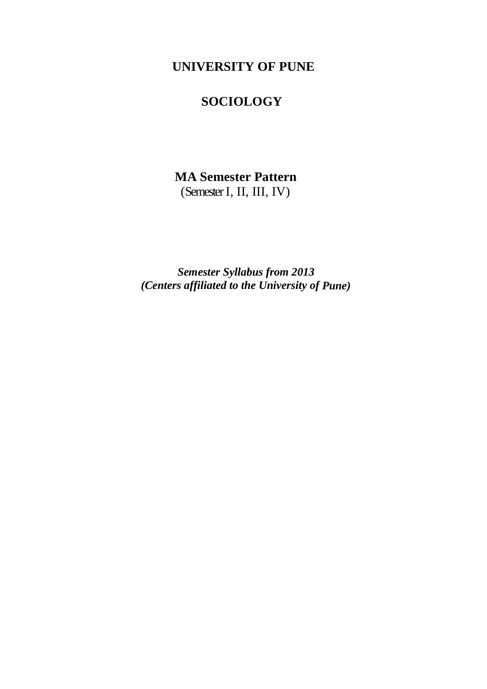# **UNIVERSITY OF PUNE**

# **SOCIOLOGY**

# **MA Semester Pattern** (Semester I, II, III, IV)

*Semester Syllabus from 2013 (Centers affiliated to the University of Pune)*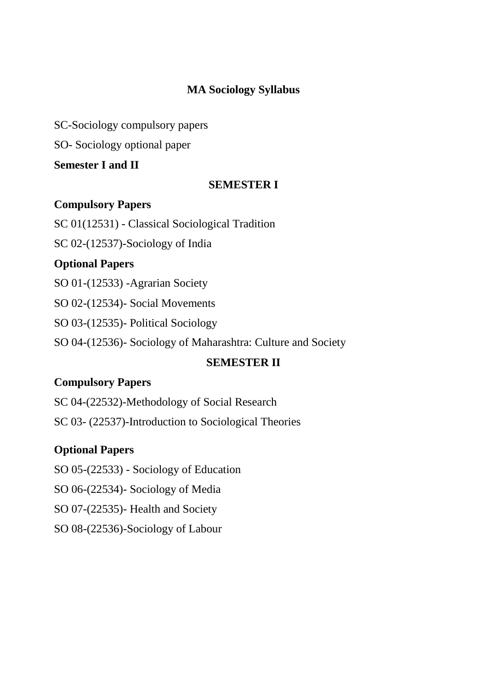# **MA Sociology Syllabus**

SC-Sociology compulsory papers

SO- Sociology optional paper

### **Semester I and II**

### **SEMESTER I**

### **Compulsory Papers**

SC 01(12531) - Classical Sociological Tradition

SC 02-(12537)-Sociology of India

# **Optional Papers**

SO 01-(12533) -Agrarian Society

SO 02-(12534)- Social Movements

SO 03-(12535)- Political Sociology

SO 04-(12536)- Sociology of Maharashtra: Culture and Society

# **SEMESTER II**

# **Compulsory Papers**

SC 04-(22532)-Methodology of Social Research

SC 03- (22537)-Introduction to Sociological Theories

# **Optional Papers**

SO 05-(22533) - Sociology of Education

SO 06-(22534)- Sociology of Media

SO 07-(22535)- Health and Society

SO 08-(22536)-Sociology of Labour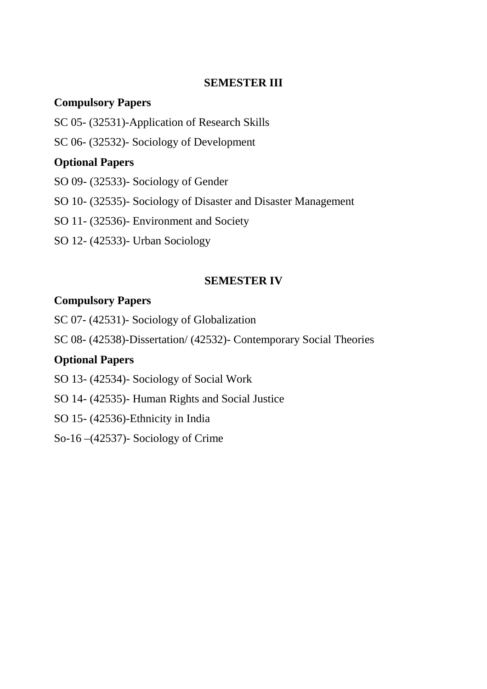### **SEMESTER III**

# **Compulsory Papers**

- SC 05- (32531)-Application of Research Skills
- SC 06- (32532)- Sociology of Development

# **Optional Papers**

- SO 09- (32533)- Sociology of Gender
- SO 10- (32535)- Sociology of Disaster and Disaster Management
- SO 11- (32536)- Environment and Society
- SO 12- (42533)- Urban Sociology

### **SEMESTER IV**

# **Compulsory Papers**

- SC 07- (42531)- Sociology of Globalization
- SC 08- (42538)-Dissertation/ (42532)- Contemporary Social Theories

# **Optional Papers**

SO 13- (42534)- Sociology of Social Work

- SO 14- (42535)- Human Rights and Social Justice
- SO 15- (42536)-Ethnicity in India
- So-16 –(42537)- Sociology of Crime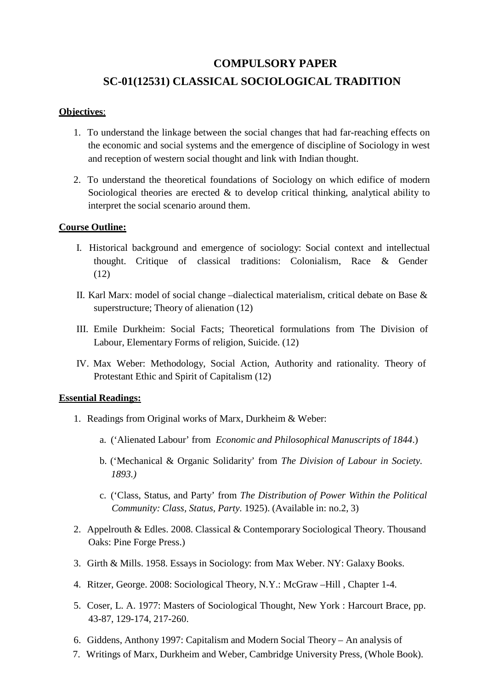# **COMPULSORY PAPER SC-01(12531) CLASSICAL SOCIOLOGICAL TRADITION**

### **Objectives**:

- 1. To understand the linkage between the social changes that had far-reaching effects on the economic and social systems and the emergence of discipline of Sociology in west and reception of western social thought and link with Indian thought.
- 2. To understand the theoretical foundations of Sociology on which edifice of modern Sociological theories are erected  $\&$  to develop critical thinking, analytical ability to interpret the social scenario around them.

#### **Course Outline:**

- I. Historical background and emergence of sociology: Social context and intellectual thought. Critique of classical traditions: Colonialism, Race & Gender (12)
- II. Karl Marx: model of social change –dialectical materialism, critical debate on Base & superstructure; Theory of alienation (12)
- III. Emile Durkheim: Social Facts; Theoretical formulations from The Division of Labour, Elementary Forms of religion, Suicide. (12)
- IV. Max Weber: Methodology, Social Action, Authority and rationality. Theory of Protestant Ethic and Spirit of Capitalism (12)

#### **Essential Readings:**

- 1. Readings from Original works of Marx, Durkheim & Weber:
	- a. ('Alienated Labour' from *Economic and Philosophical Manuscripts of 1844*.)
	- b. ('Mechanical & Organic Solidarity' from *The Division of Labour in Society. 1893.)*
	- c. ('Class, Status, and Party' from *The Distribution of Power Within the Political Community: Class, Status, Party.* 1925). (Available in: no.2, 3)
- 2. Appelrouth & Edles. 2008. Classical & Contemporary Sociological Theory. Thousand Oaks: Pine Forge Press.)
- 3. Girth & Mills. 1958. Essays in Sociology: from Max Weber. NY: Galaxy Books.
- 4. Ritzer, George. 2008: Sociological Theory, N.Y.: McGraw –Hill , Chapter 1-4.
- 5. Coser, L. A. 1977: Masters of Sociological Thought, New York : Harcourt Brace, pp. 43-87, 129-174, 217-260.
- 6. Giddens, Anthony 1997: Capitalism and Modern Social Theory An analysis of
- 7. Writings of Marx, Durkheim and Weber, Cambridge University Press, (Whole Book).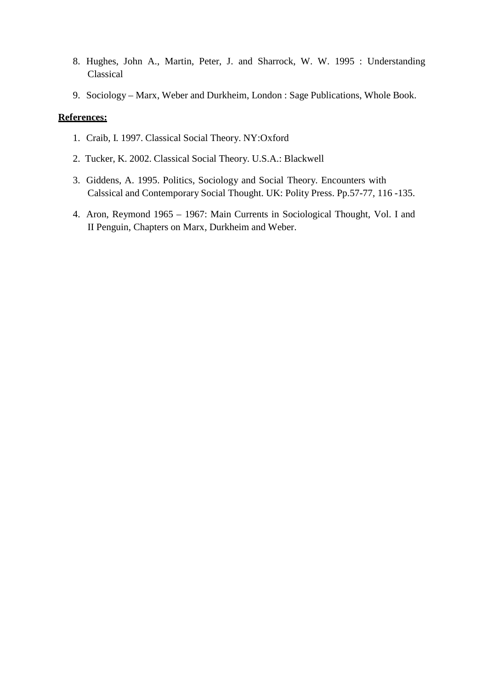- 8. Hughes, John A., Martin, Peter, J. and Sharrock, W. W. 1995 : Understanding Classical
- 9. Sociology Marx, Weber and Durkheim, London : Sage Publications, Whole Book.

- 1. Craib, I. 1997. Classical Social Theory. NY:Oxford
- 2. Tucker, K. 2002. Classical Social Theory. U.S.A.: Blackwell
- 3. Giddens, A. 1995. Politics, Sociology and Social Theory. Encounters with Calssical and Contemporary Social Thought. UK: Polity Press. Pp.57-77, 116 -135.
- 4. Aron, Reymond 1965 1967: Main Currents in Sociological Thought, Vol. I and II Penguin, Chapters on Marx, Durkheim and Weber.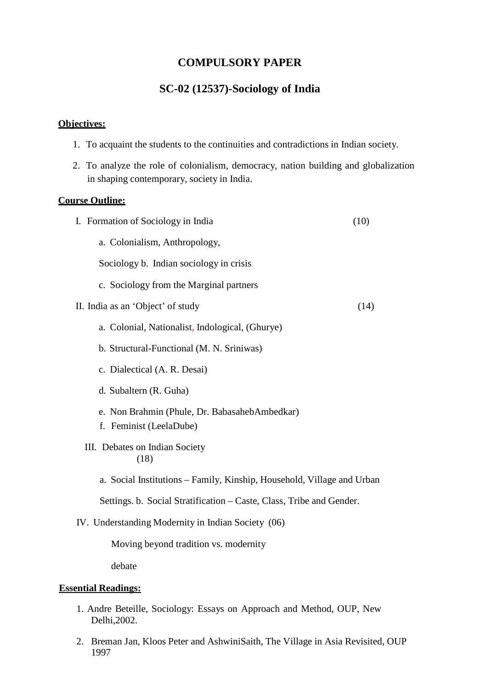### **COMPULSORY PAPER**

### **SC-02 (12537)-Sociology of India**

#### **Objectives:**

- 1. To acquaint the students to the continuities and contradictions in Indian society.
- 2. To analyze the role of colonialism, democracy, nation building and globalization in shaping contemporary, society in India.

#### **Course Outline:**

| I. Formation of Sociology in India                                     | (10) |
|------------------------------------------------------------------------|------|
| a. Colonialism, Anthropology,                                          |      |
| Sociology b. Indian sociology in crisis                                |      |
| c. Sociology from the Marginal partners                                |      |
| II. India as an 'Object' of study                                      | (14) |
| a. Colonial, Nationalist, Indological, (Ghurye)                        |      |
| b. Structural-Functional (M. N. Sriniwas)                              |      |
| c. Dialectical (A. R. Desai)                                           |      |
| d. Subaltern (R. Guha)                                                 |      |
| e. Non Brahmin (Phule, Dr. BabasahebAmbedkar)                          |      |
| f. Feminist (LeelaDube)                                                |      |
| III. Debates on Indian Society<br>(18)                                 |      |
| a. Social Institutions – Family, Kinship, Household, Village and Urban |      |
| Settings. b. Social Stratification – Caste, Class, Tribe and Gender.   |      |
| IV. Understanding Modernity in Indian Society (06)                     |      |
| Moving beyond tradition vs. modernity                                  |      |
| debate                                                                 |      |
| <b>Essential Readings:</b>                                             |      |

- 1. Andre Beteille, Sociology: Essays on Approach and Method, OUP, New Delhi,2002.
- 2. Breman Jan, Kloos Peter and AshwiniSaith, The Village in Asia Revisited, OUP 1997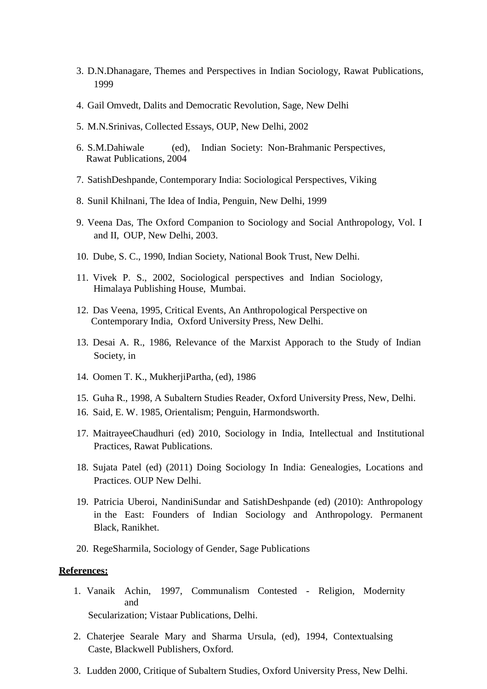- 3. D.N.Dhanagare, Themes and Perspectives in Indian Sociology, Rawat Publications, 1999
- 4. Gail Omvedt, Dalits and Democratic Revolution, Sage, New Delhi
- 5. M.N.Srinivas, Collected Essays, OUP, New Delhi, 2002
- 6. S.M.Dahiwale (ed), Indian Society: Non-Brahmanic Perspectives, Rawat Publications, 2004
- 7. SatishDeshpande, Contemporary India: Sociological Perspectives, Viking
- 8. Sunil Khilnani, The Idea of India, Penguin, New Delhi, 1999
- 9. Veena Das, The Oxford Companion to Sociology and Social Anthropology, Vol. I and II, OUP, New Delhi, 2003.
- 10. Dube, S. C., 1990, Indian Society, National Book Trust, New Delhi.
- 11. Vivek P. S., 2002, Sociological perspectives and Indian Sociology, Himalaya Publishing House, Mumbai.
- 12. Das Veena, 1995, Critical Events, An Anthropological Perspective on Contemporary India, Oxford University Press, New Delhi.
- 13. Desai A. R., 1986, Relevance of the Marxist Apporach to the Study of Indian Society, in
- 14. Oomen T. K., MukherjiPartha, (ed), 1986
- 15. Guha R., 1998, A Subaltern Studies Reader, Oxford University Press, New, Delhi.
- 16. Said, E. W. 1985, Orientalism; Penguin, Harmondsworth.
- 17. MaitrayeeChaudhuri (ed) 2010, Sociology in India, Intellectual and Institutional Practices, Rawat Publications.
- 18. Sujata Patel (ed) (2011) Doing Sociology In India: Genealogies, Locations and Practices. OUP New Delhi.
- 19. Patricia Uberoi, NandiniSundar and SatishDeshpande (ed) (2010): Anthropology in the East: Founders of Indian Sociology and Anthropology. Permanent Black, Ranikhet.
- 20. RegeSharmila, Sociology of Gender, Sage Publications

- 1. Vanaik Achin, 1997, Communalism Contested Religion, Modernity and Secularization; Vistaar Publications, Delhi.
- 2. Chaterjee Searale Mary and Sharma Ursula, (ed), 1994, Contextualsing Caste, Blackwell Publishers, Oxford.
- 3. Ludden 2000, Critique of Subaltern Studies, Oxford University Press, New Delhi.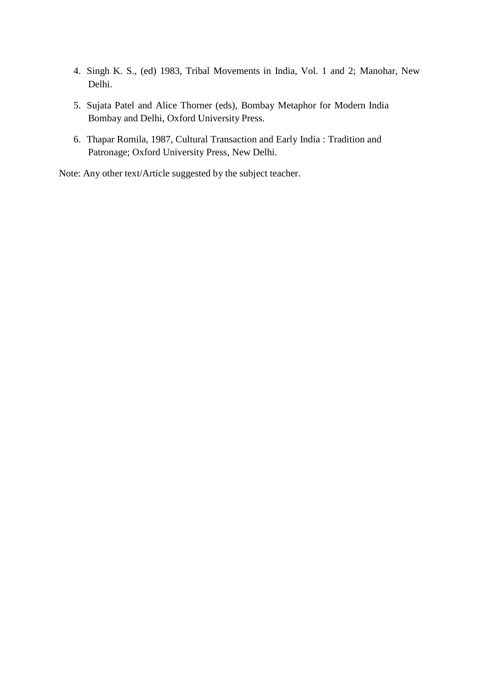- 4. Singh K. S., (ed) 1983, Tribal Movements in India, Vol. 1 and 2; Manohar, New Delhi.
- 5. Sujata Patel and Alice Thorner (eds), Bombay Metaphor for Modern India Bombay and Delhi, Oxford University Press.
- 6. Thapar Romila, 1987, Cultural Transaction and Early India : Tradition and Patronage; Oxford University Press, New Delhi.

Note: Any other text/Article suggested by the subject teacher.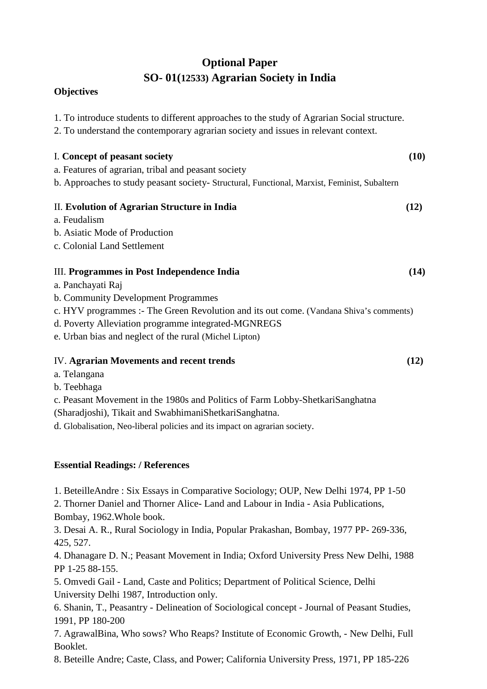# **Optional Paper SO- 01(12533) Agrarian Society in India**

### **Objectives**

| 1. To introduce students to different approaches to the study of Agrarian Social structure.<br>2. To understand the contemporary agrarian society and issues in relevant context. |      |
|-----------------------------------------------------------------------------------------------------------------------------------------------------------------------------------|------|
| I. Concept of peasant society                                                                                                                                                     | (10) |
| a. Features of agrarian, tribal and peasant society                                                                                                                               |      |
| b. Approaches to study peasant society- Structural, Functional, Marxist, Feminist, Subaltern                                                                                      |      |
| II. Evolution of Agrarian Structure in India                                                                                                                                      | (12) |
| a. Feudalism                                                                                                                                                                      |      |
| b. Asiatic Mode of Production                                                                                                                                                     |      |
| c. Colonial Land Settlement                                                                                                                                                       |      |
| III. Programmes in Post Independence India                                                                                                                                        | (14) |
| a. Panchayati Raj                                                                                                                                                                 |      |
| b. Community Development Programmes                                                                                                                                               |      |
| c. HYV programmes :- The Green Revolution and its out come. (Vandana Shiva's comments)                                                                                            |      |
| d. Poverty Alleviation programme integrated-MGNREGS                                                                                                                               |      |
| e. Urban bias and neglect of the rural (Michel Lipton)                                                                                                                            |      |
| IV. Agrarian Movements and recent trends                                                                                                                                          | (12) |
| a. Telangana                                                                                                                                                                      |      |
| b. Teebhaga                                                                                                                                                                       |      |
| c. Peasant Movement in the 1980s and Politics of Farm Lobby-ShetkariSanghatna                                                                                                     |      |
| (Sharadjoshi), Tikait and SwabhimaniShetkariSanghatna.                                                                                                                            |      |
| d. Globalisation, Neo-liberal policies and its impact on agrarian society.                                                                                                        |      |
|                                                                                                                                                                                   |      |

### **Essential Readings: / References**

1. BeteilleAndre : Six Essays in Comparative Sociology; OUP, New Delhi 1974, PP 1-50

2. Thorner Daniel and Thorner Alice- Land and Labour in India - Asia Publications, Bombay, 1962.Whole book.

3. Desai A. R., Rural Sociology in India, Popular Prakashan, Bombay, 1977 PP- 269-336, 425, 527.

4. Dhanagare D. N.; Peasant Movement in India; Oxford University Press New Delhi, 1988 PP 1-25 88-155.

5. Omvedi Gail - Land, Caste and Politics; Department of Political Science, Delhi University Delhi 1987, Introduction only.

6. Shanin, T., Peasantry - Delineation of Sociological concept - Journal of Peasant Studies, 1991, PP 180-200

7. AgrawalBina, Who sows? Who Reaps? Institute of Economic Growth, - New Delhi, Full Booklet.

8. Beteille Andre; Caste, Class, and Power; California University Press, 1971, PP 185-226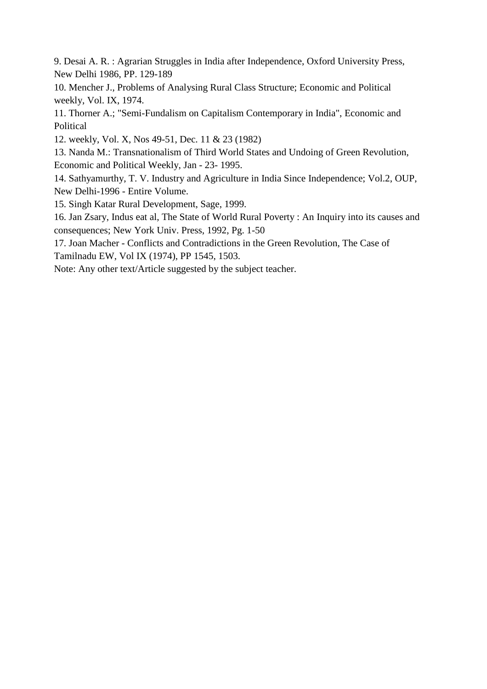9. Desai A. R. : Agrarian Struggles in India after Independence, Oxford University Press, New Delhi 1986, PP. 129-189

10. Mencher J., Problems of Analysing Rural Class Structure; Economic and Political weekly, Vol. IX, 1974.

11. Thorner A.; "Semi-Fundalism on Capitalism Contemporary in India", Economic and Political

12. weekly, Vol. X, Nos 49-51, Dec. 11 & 23 (1982)

13. Nanda M.: Transnationalism of Third World States and Undoing of Green Revolution, Economic and Political Weekly, Jan - 23- 1995.

14. Sathyamurthy, T. V. Industry and Agriculture in India Since Independence; Vol.2, OUP, New Delhi-1996 - Entire Volume.

15. Singh Katar Rural Development, Sage, 1999.

16. Jan Zsary, Indus eat al, The State of World Rural Poverty : An Inquiry into its causes and consequences; New York Univ. Press, 1992, Pg. 1-50

17. Joan Macher - Conflicts and Contradictions in the Green Revolution, The Case of Tamilnadu EW, Vol IX (1974), PP 1545, 1503.

Note: Any other text/Article suggested by the subject teacher.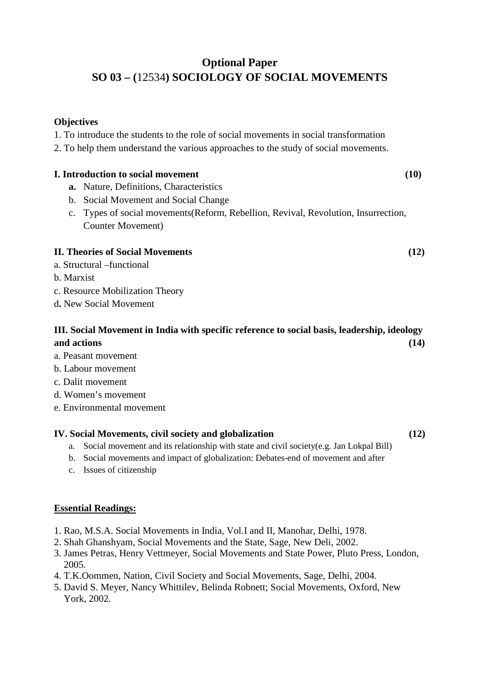# **Optional Paper SO 03 – (**12534**) SOCIOLOGY OF SOCIAL MOVEMENTS**

### **Objectives**

1. To introduce the students to the role of social movements in social transformation

2. To help them understand the various approaches to the study of social movements.

### **I. Introduction to social movement** (10)

- **a.** Nature, Definitions, Characteristics
- b. Social Movement and Social Change
- c. Types of social movements(Reform, Rebellion, Revival, Revolution, Insurrection, Counter Movement)

### **II. Theories of Social Movements (12)**

- a. Structural –functional
- b. Marxist
- c. Resource Mobilization Theory
- d**.** New Social Movement

### **III. Social Movement in India with specific reference to social basis, leadership, ideology and actions (14)**

- a. Peasant movement
- b. Labour movement
- c. Dalit movement
- d. Women's movement
- e. Environmental movement

### **IV. Social Movements, civil society and globalization (12)**

- a. Social movement and its relationship with state and civil society(e.g. Jan Lokpal Bill)
- b. Social movements and impact of globalization: Debates-end of movement and after
- c. Issues of citizenship

### **Essential Readings:**

- 1. Rao, M.S.A. Social Movements in India, Vol.I and II, Manohar, Delhi, 1978.
- 2. Shah Ghanshyam, Social Movements and the State, Sage, New Deli, 2002.
- 3. James Petras, Henry Vettmeyer, Social Movements and State Power, Pluto Press, London, 2005.
- 4. T.K.Oommen, Nation, Civil Society and Social Movements, Sage, Delhi, 2004.
- 5. David S. Meyer, Nancy Whittilev, Belinda Robnett; Social Movements, Oxford, New York, 2002.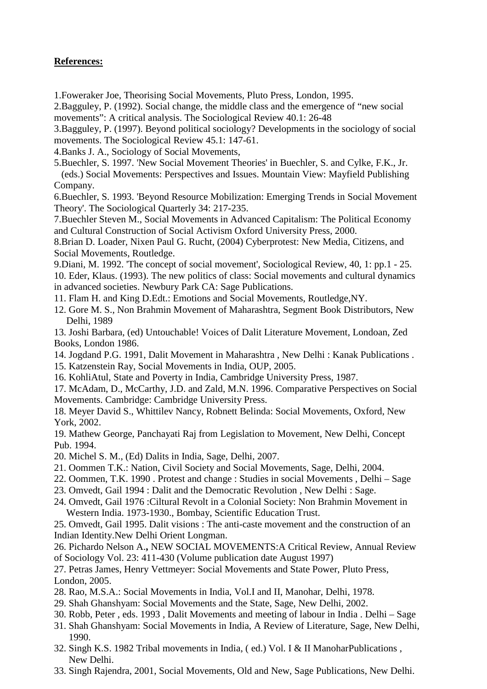- 1.Foweraker Joe, Theorising Social Movements, Pluto Press, London, 1995.
- 2.Bagguley, P. (1992). Social change, the middle class and the emergence of "new social movements": A critical analysis. The Sociological Review 40.1: 26-48
- 3.Bagguley, P. (1997). Beyond political sociology? Developments in the sociology of social movements. The Sociological Review 45.1: 147-61.
- 4.Banks J. A., Sociology of Social Movements,
- 5.Buechler, S. 1997. 'New Social Movement Theories' in Buechler, S. and Cylke, F.K., Jr. (eds.) Social Movements: Perspectives and Issues. Mountain View: Mayfield Publishing Company.
- 6.Buechler, S. 1993. 'Beyond Resource Mobilization: Emerging Trends in Social Movement Theory'. The Sociological Quarterly 34: 217-235.
- 7.Buechler Steven M., Social Movements in Advanced Capitalism: The Political Economy and Cultural Construction of Social Activism Oxford University Press, 2000.
- 8.Brian D. Loader, Nixen Paul G. Rucht, (2004) Cyberprotest: New Media, Citizens, and Social Movements, Routledge.
- 9.Diani, M. 1992. 'The concept of social movement', Sociological Review, 40, 1: pp.1 25. 10. Eder, Klaus. (1993). The new politics of class: Social movements and cultural dynamics in advanced societies. Newbury Park CA: Sage Publications.
- 11. Flam H. and King D.Edt.: Emotions and Social Movements, Routledge,NY.
- 12. Gore M. S., Non Brahmin Movement of Maharashtra, Segment Book Distributors, New Delhi, 1989
- 13. Joshi Barbara, (ed) Untouchable! Voices of Dalit Literature Movement, Londoan, Zed Books, London 1986.
- 14. Jogdand P.G. 1991, Dalit Movement in Maharashtra , New Delhi : Kanak Publications .
- 15. Katzenstein Ray, Social Movements in India, OUP, 2005.
- 16. KohliAtul, State and Poverty in India, Cambridge University Press, 1987.
- 17. McAdam, D., McCarthy, J.D. and Zald, M.N. 1996. Comparative Perspectives on Social Movements. Cambridge: Cambridge University Press.
- 18. Meyer David S., Whittilev Nancy, Robnett Belinda: Social Movements, Oxford, New York, 2002.
- 19. Mathew George, Panchayati Raj from Legislation to Movement, New Delhi, Concept Pub. 1994.
- 20. Michel S. M., (Ed) Dalits in India, Sage, Delhi, 2007.
- 21. Oommen T.K.: Nation, Civil Society and Social Movements, Sage, Delhi, 2004.
- 22. Oommen, T.K. 1990 . Protest and change : Studies in social Movements , Delhi Sage
- 23. Omvedt, Gail 1994 : Dalit and the Democratic Revolution , New Delhi : Sage.
- 24. Omvedt, Gail 1976 :Ciltural Revolt in a Colonial Society: Non Brahmin Movement in Western India. 1973-1930., Bombay, Scientific Education Trust.

25. Omvedt, Gail 1995. Dalit visions : The anti-caste movement and the construction of an Indian Identity.New Delhi Orient Longman.

26. Pichardo Nelson A.**,** NEW SOCIAL MOVEMENTS:A Critical Review, Annual Review of Sociology Vol. 23: 411-430 (Volume publication date August 1997)

27. Petras James, Henry Vettmeyer: Social Movements and State Power, Pluto Press, London, 2005.

- 28. Rao, M.S.A.: Social Movements in India, Vol.I and II, Manohar, Delhi, 1978.
- 29. Shah Ghanshyam: Social Movements and the State, Sage, New Delhi, 2002.
- 30. Robb, Peter , eds. 1993 , Dalit Movements and meeting of labour in India . Delhi Sage
- 31. Shah Ghanshyam: Social Movements in India, A Review of Literature, Sage, New Delhi, 1990.
- 32. Singh K.S. 1982 Tribal movements in India, ( ed.) Vol. I & II ManoharPublications , New Delhi.
- 33. Singh Rajendra, 2001, Social Movements, Old and New, Sage Publications, New Delhi.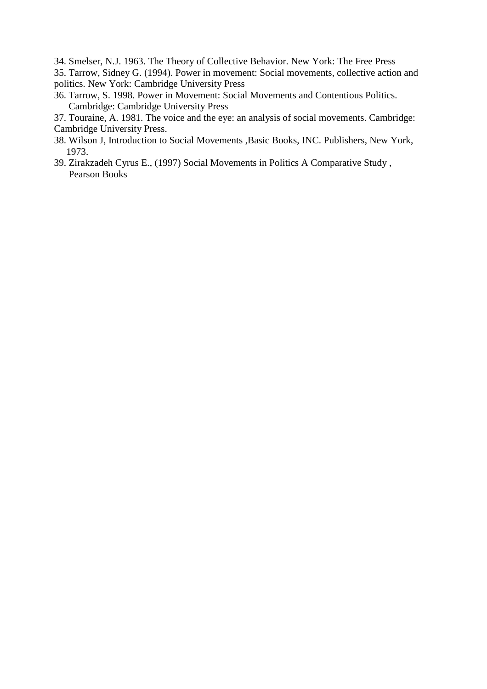- 34. Smelser, N.J. 1963. The Theory of Collective Behavior. New York: The Free Press
- 35. Tarrow, Sidney G. (1994). Power in movement: Social movements, collective action and politics. New York: Cambridge University Press
- 36. Tarrow, S. 1998. Power in Movement: Social Movements and Contentious Politics. Cambridge: Cambridge University Press
- 37. Touraine, A. 1981. The voice and the eye: an analysis of social movements. Cambridge: Cambridge University Press.
- 38. Wilson J, Introduction to Social Movements ,Basic Books, INC. Publishers, New York, 1973.
- 39. Zirakzadeh Cyrus E., (1997) Social Movements in Politics A Comparative Study , Pearson Books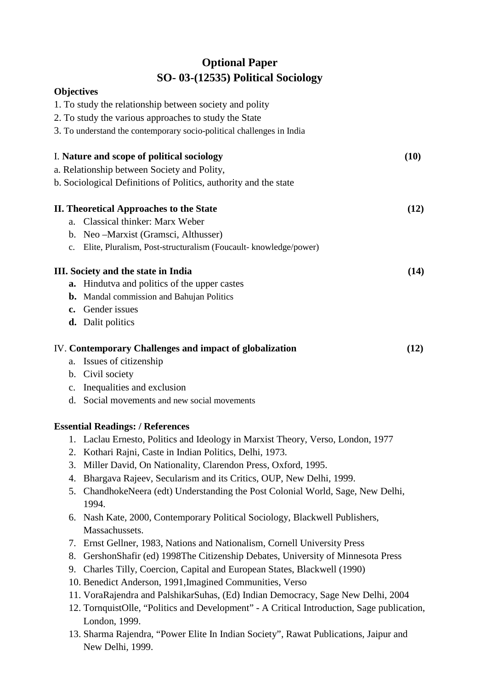# **Optional Paper SO- 03-(12535) Political Sociology**

### **Objectives**

|             | 1. To study the relationship between society and polity                         |      |
|-------------|---------------------------------------------------------------------------------|------|
|             | 2. To study the various approaches to study the State                           |      |
|             | 3. To understand the contemporary socio-political challenges in India           |      |
|             | I. Nature and scope of political sociology                                      | (10) |
|             | a. Relationship between Society and Polity,                                     |      |
|             | b. Sociological Definitions of Politics, authority and the state                |      |
|             | <b>II. Theoretical Approaches to the State</b>                                  | (12) |
|             | a. Classical thinker: Marx Weber                                                |      |
|             | b. Neo-Marxist (Gramsci, Althusser)                                             |      |
| $c_{\cdot}$ | Elite, Pluralism, Post-structuralism (Foucault- knowledge/power)                |      |
|             | III. Society and the state in India                                             | (14) |
|             | <b>a.</b> Hindutva and politics of the upper castes                             |      |
|             | <b>b.</b> Mandal commission and Bahujan Politics                                |      |
|             | c. Gender issues                                                                |      |
|             | <b>d.</b> Dalit politics                                                        |      |
|             | IV. Contemporary Challenges and impact of globalization                         | (12) |
|             | a. Issues of citizenship                                                        |      |
|             | b. Civil society                                                                |      |
|             | c. Inequalities and exclusion                                                   |      |
|             | d. Social movements and new social movements                                    |      |
|             | <b>Essential Readings: / References</b>                                         |      |
|             | 1. Laclau Ernesto, Politics and Ideology in Marxist Theory, Verso, London, 1977 |      |
|             | 2. Kothari Rajni, Caste in Indian Politics, Delhi, 1973.                        |      |
|             | 3. Miller David, On Nationality, Clarendon Press, Oxford, 1995.                 |      |
| 4.          | Bhargava Rajeev, Secularism and its Critics, OUP, New Delhi, 1999.              |      |
|             | 5. ChandholzaNoora (odt) Undorstanding the Post Colonial World, Saga, Naw Dolbi |      |

- 5. ChandhokeNeera (edt) Understanding the Post Colonial World, Sage, New Delhi, 1994.
- 6. Nash Kate, 2000, Contemporary Political Sociology, Blackwell Publishers, Massachussets.
- 7. Ernst Gellner, 1983, Nations and Nationalism, Cornell University Press
- 8. GershonShafir (ed) 1998The Citizenship Debates, University of Minnesota Press
- 9. Charles Tilly, Coercion, Capital and European States, Blackwell (1990)
- 10. Benedict Anderson, 1991,Imagined Communities, Verso
- 11. VoraRajendra and PalshikarSuhas, (Ed) Indian Democracy, Sage New Delhi, 2004
- 12. TornquistOlle, "Politics and Development" A Critical Introduction, Sage publication, London, 1999.
- 13. Sharma Rajendra, "Power Elite In Indian Society", Rawat Publications, Jaipur and New Delhi, 1999.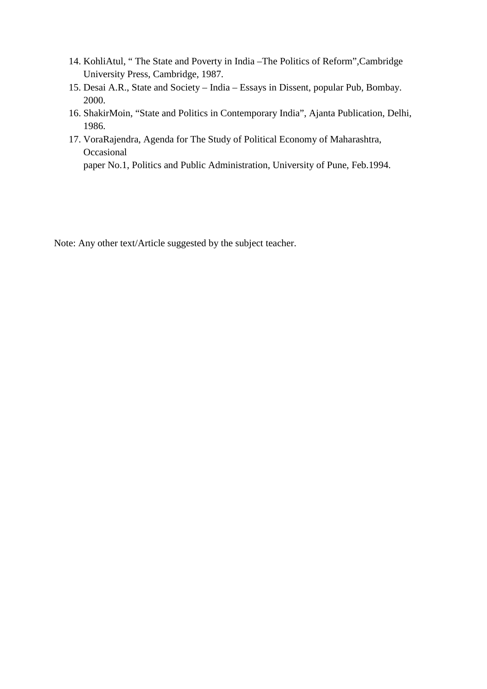- 14. KohliAtul, " The State and Poverty in India –The Politics of Reform",Cambridge University Press, Cambridge, 1987.
- 15. Desai A.R., State and Society India Essays in Dissent, popular Pub, Bombay. 2000.
- 16. ShakirMoin, "State and Politics in Contemporary India", Ajanta Publication, Delhi, 1986.
- 17. VoraRajendra, Agenda for The Study of Political Economy of Maharashtra, Occasional paper No.1, Politics and Public Administration, University of Pune, Feb.1994.

Note: Any other text/Article suggested by the subject teacher.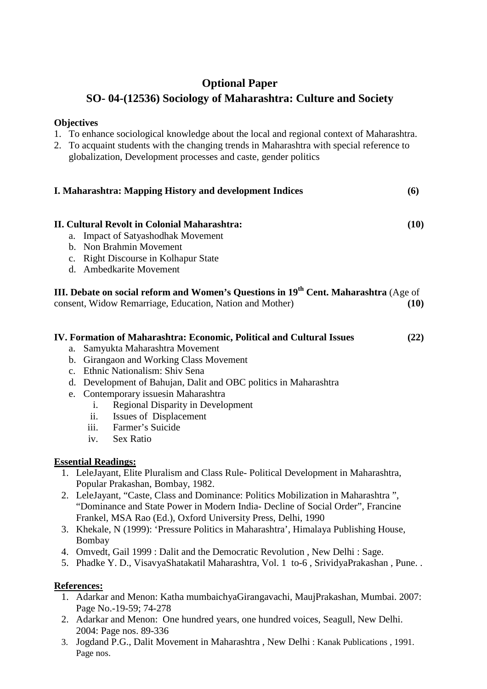# **Optional Paper**

# **SO- 04-(12536) Sociology of Maharashtra: Culture and Society**

### **Objectives**

1. To enhance sociological knowledge about the local and regional context of Maharashtra.

| 2. To acquaint students with the changing trends in Maharashtra with special reference to |
|-------------------------------------------------------------------------------------------|
| globalization, Development processes and caste, gender politics                           |

| <b>I. Maharashtra: Mapping History and development Indices</b><br>(6)                                                                                                                                                                                                                                                                                                                                                                                                 |      |  |
|-----------------------------------------------------------------------------------------------------------------------------------------------------------------------------------------------------------------------------------------------------------------------------------------------------------------------------------------------------------------------------------------------------------------------------------------------------------------------|------|--|
| <b>II. Cultural Revolt in Colonial Maharashtra:</b><br>a. Impact of Satyashodhak Movement<br>b. Non Brahmin Movement<br>c. Right Discourse in Kolhapur State<br>d. Ambedkarite Movement                                                                                                                                                                                                                                                                               | (10) |  |
| III. Debate on social reform and Women's Questions in 19 <sup>th</sup> Cent. Maharashtra (Age of<br>consent, Widow Remarriage, Education, Nation and Mother)                                                                                                                                                                                                                                                                                                          | (10) |  |
| IV. Formation of Maharashtra: Economic, Political and Cultural Issues<br>Samyukta Maharashtra Movement<br>a.<br>b. Girangaon and Working Class Movement<br>c. Ethnic Nationalism: Shiv Sena<br>d. Development of Bahujan, Dalit and OBC politics in Maharashtra<br>e. Contemporary issues in Maharashtra<br><b>Regional Disparity in Development</b><br>$\mathbf{i}$ .<br><b>Issues of Displacement</b><br>ii.<br>Farmer's Suicide<br>iii.<br><b>Sex Ratio</b><br>iv. | (22) |  |
| <b>Essential Readings:</b>                                                                                                                                                                                                                                                                                                                                                                                                                                            |      |  |
| 1. LeleJayant, Elite Pluralism and Class Rule-Political Development in Maharashtra,                                                                                                                                                                                                                                                                                                                                                                                   |      |  |
| Popular Prakashan, Bombay, 1982.<br>2. LeleJayant, "Caste, Class and Dominance: Politics Mobilization in Maharashtra",<br>"Dominance and State Power in Modern India- Decline of Social Order", Francine<br>Frankel, MSA Rao (Ed.), Oxford University Press, Delhi, 1990<br>3. Khekale, N (1999): 'Pressure Politics in Maharashtra', Himalaya Publishing House,                                                                                                      |      |  |
| Bombay<br>4. Omvedt, Gail 1999 : Dalit and the Democratic Revolution, New Delhi : Sage.<br>5. Phadke Y. D., VisavyaShatakatil Maharashtra, Vol. 1 to-6, SrividyaPrakashan, Pune                                                                                                                                                                                                                                                                                       |      |  |

- 1. Adarkar and Menon: Katha mumbaichyaGirangavachi, MaujPrakashan, Mumbai. 2007: Page No.-19-59; 74-278
- 2. Adarkar and Menon: One hundred years, one hundred voices, Seagull, New Delhi. 2004: Page nos. 89-336
- 3. Jogdand P.G., Dalit Movement in Maharashtra , New Delhi : Kanak Publications , 1991. Page nos.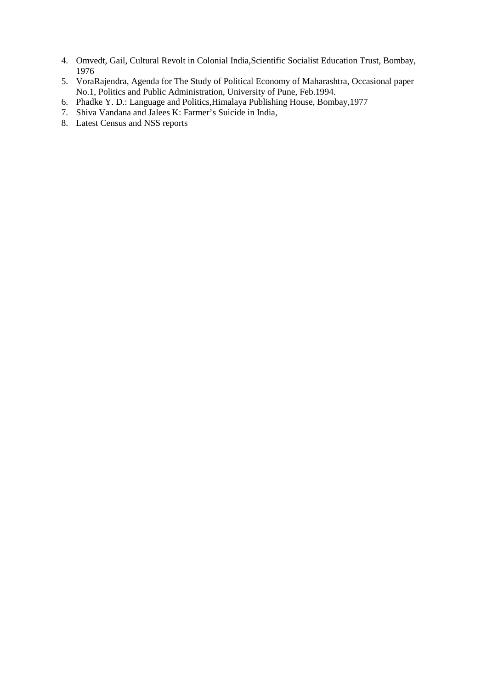- 4. Omvedt, Gail, Cultural Revolt in Colonial India,Scientific Socialist Education Trust, Bombay, 1976
- 5. VoraRajendra, Agenda for The Study of Political Economy of Maharashtra, Occasional paper No.1, Politics and Public Administration, University of Pune, Feb.1994.
- 6. Phadke Y. D.: Language and Politics,Himalaya Publishing House, Bombay,1977
- 7. Shiva Vandana and Jalees K: Farmer's Suicide in India,
- 8. Latest Census and NSS reports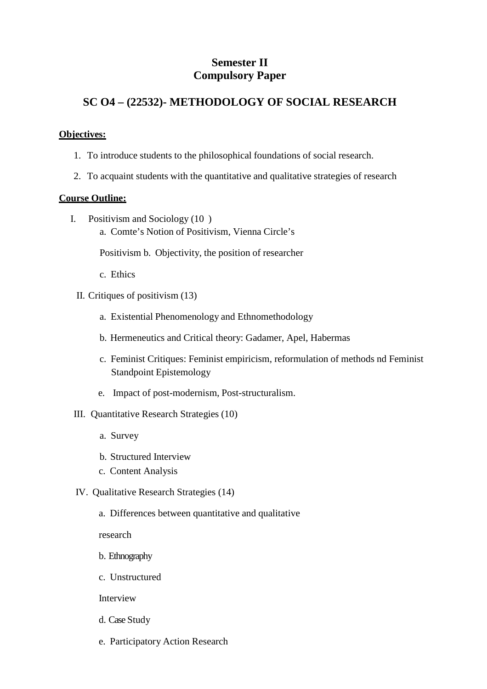### **Semester II Compulsory Paper**

### **SC O4 – (22532)- METHODOLOGY OF SOCIAL RESEARCH**

### **Objectives:**

- 1. To introduce students to the philosophical foundations of social research.
- 2. To acquaint students with the quantitative and qualitative strategies of research

#### **Course Outline:**

- I. Positivism and Sociology (10 )
	- a. Comte's Notion of Positivism, Vienna Circle's

Positivism b. Objectivity, the position of researcher

- c. Ethics
- II. Critiques of positivism (13)
	- a. Existential Phenomenology and Ethnomethodology
	- b. Hermeneutics and Critical theory: Gadamer, Apel, Habermas
	- c. Feminist Critiques: Feminist empiricism, reformulation of methods nd Feminist Standpoint Epistemology
	- e. Impact of post-modernism, Post-structuralism.
- III. Quantitative Research Strategies (10)
	- a. Survey
	- b. Structured Interview
	- c. Content Analysis
- IV. Qualitative Research Strategies (14)
	- a. Differences between quantitative and qualitative

research

- b. Ethnography
- c. Unstructured

Interview

- d. Case Study
- e. Participatory Action Research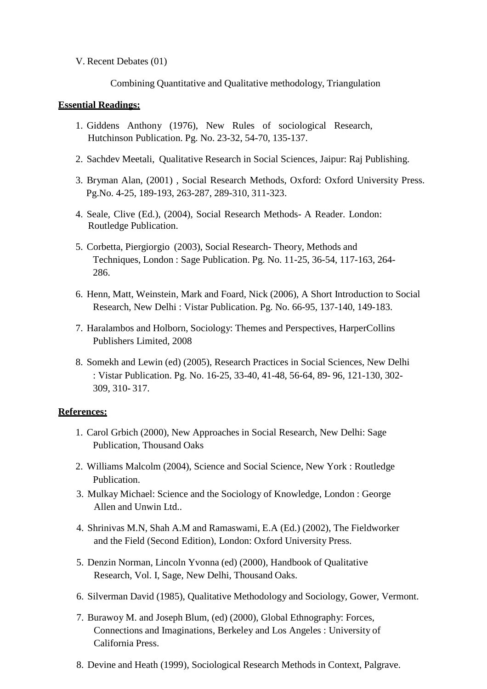V. Recent Debates (01)

Combining Quantitative and Qualitative methodology, Triangulation

### **Essential Readings:**

- 1. Giddens Anthony (1976), New Rules of sociological Research, Hutchinson Publication. Pg. No. 23-32, 54-70, 135-137.
- 2. Sachdev Meetali, Qualitative Research in Social Sciences, Jaipur: Raj Publishing.
- 3. Bryman Alan, (2001) , Social Research Methods, Oxford: Oxford University Press. Pg.No. 4-25, 189-193, 263-287, 289-310, 311-323.
- 4. Seale, Clive (Ed.), (2004), Social Research Methods- A Reader. London: Routledge Publication.
- 5. Corbetta, Piergiorgio (2003), Social Research- Theory, Methods and Techniques, London : Sage Publication. Pg. No. 11-25, 36-54, 117-163, 264- 286.
- 6. Henn, Matt, Weinstein, Mark and Foard, Nick (2006), A Short Introduction to Social Research, New Delhi : Vistar Publication. Pg. No. 66-95, 137-140, 149-183.
- 7. Haralambos and Holborn, Sociology: Themes and Perspectives, HarperCollins Publishers Limited, 2008
- 8. Somekh and Lewin (ed) (2005), Research Practices in Social Sciences, New Delhi : Vistar Publication. Pg. No. 16-25, 33-40, 41-48, 56-64, 89- 96, 121-130, 302- 309, 310- 317.

- 1. Carol Grbich (2000), New Approaches in Social Research, New Delhi: Sage Publication, Thousand Oaks
- 2. Williams Malcolm (2004), Science and Social Science, New York : Routledge Publication.
- 3. Mulkay Michael: Science and the Sociology of Knowledge, London : George Allen and Unwin Ltd..
- 4. Shrinivas M.N, Shah A.M and Ramaswami, E.A (Ed.) (2002), The Fieldworker and the Field (Second Edition), London: Oxford University Press.
- 5. Denzin Norman, Lincoln Yvonna (ed) (2000), Handbook of Qualitative Research, Vol. I, Sage, New Delhi, Thousand Oaks.
- 6. Silverman David (1985), Qualitative Methodology and Sociology, Gower, Vermont.
- 7. Burawoy M. and Joseph Blum, (ed) (2000), Global Ethnography: Forces, Connections and Imaginations, Berkeley and Los Angeles : University of California Press.
- 8. Devine and Heath (1999), Sociological Research Methods in Context, Palgrave.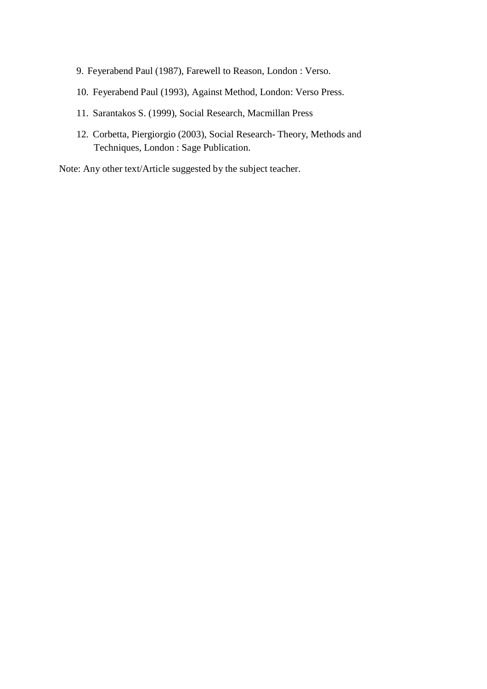- 9. Feyerabend Paul (1987), Farewell to Reason, London : Verso.
- 10. Feyerabend Paul (1993), Against Method, London: Verso Press.
- 11. Sarantakos S. (1999), Social Research, Macmillan Press
- 12. Corbetta, Piergiorgio (2003), Social Research- Theory, Methods and Techniques, London : Sage Publication.

Note: Any other text/Article suggested by the subject teacher.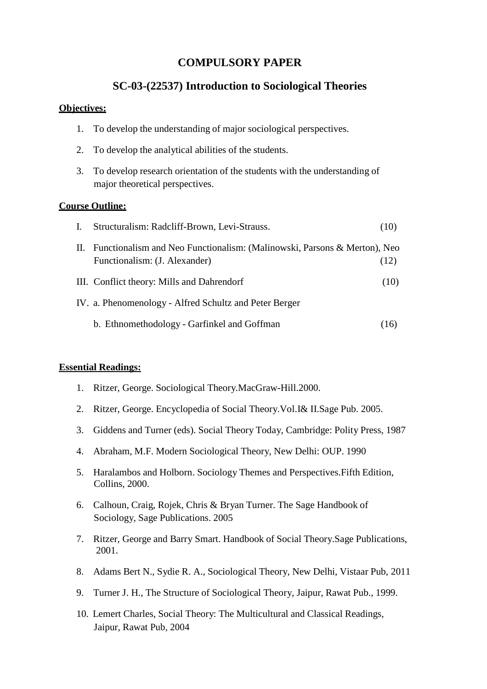### **COMPULSORY PAPER**

### **SC-03-(22537) Introduction to Sociological Theories**

#### **Objectives:**

- 1. To develop the understanding of major sociological perspectives.
- 2. To develop the analytical abilities of the students.
- 3. To develop research orientation of the students with the understanding of major theoretical perspectives.

#### **Course Outline:**

| $\mathbf{I}$ . | Structuralism: Radcliff-Brown, Levi-Strauss.                                                              | (10) |
|----------------|-----------------------------------------------------------------------------------------------------------|------|
| П.             | Functionalism and Neo Functionalism: (Malinowski, Parsons & Merton), Neo<br>Functionalism: (J. Alexander) | (12) |
|                | III. Conflict theory: Mills and Dahrendorf                                                                | (10) |
|                | IV. a. Phenomenology - Alfred Schultz and Peter Berger                                                    |      |
|                | b. Ethnomethodology - Garfinkel and Goffman                                                               | 16   |

#### **Essential Readings:**

- 1. Ritzer, George. Sociological Theory.MacGraw-Hill.2000.
- 2. Ritzer, George. Encyclopedia of Social Theory.Vol.I& II.Sage Pub. 2005.
- 3. Giddens and Turner (eds). Social Theory Today, Cambridge: Polity Press, 1987
- 4. Abraham, M.F. Modern Sociological Theory, New Delhi: OUP. 1990
- 5. Haralambos and Holborn. Sociology Themes and Perspectives.Fifth Edition, Collins, 2000.
- 6. Calhoun, Craig, Rojek, Chris & Bryan Turner. The Sage Handbook of Sociology, Sage Publications. 2005
- 7. Ritzer, George and Barry Smart. Handbook of Social Theory.Sage Publications, 2001.
- 8. Adams Bert N., Sydie R. A., Sociological Theory, New Delhi, Vistaar Pub, 2011
- 9. Turner J. H., The Structure of Sociological Theory, Jaipur, Rawat Pub., 1999.
- 10. Lemert Charles, Social Theory: The Multicultural and Classical Readings, Jaipur, Rawat Pub, 2004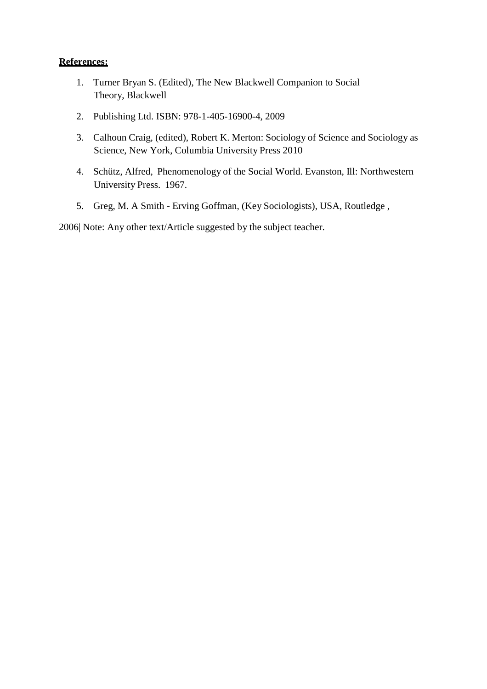- 1. Turner Bryan S. (Edited), The New Blackwell Companion to Social Theory, Blackwell
- 2. Publishing Ltd. ISBN: 978-1-405-16900-4, 2009
- 3. Calhoun Craig, (edited), Robert K. Merton: Sociology of Science and Sociology as Science, New York, Columbia University Press 2010
- 4. Schütz, Alfred, Phenomenology of the Social World. Evanston, Ill: Northwestern University Press. 1967.
- 5. Greg, M. A Smith Erving Goffman, (Key Sociologists), USA, Routledge ,

2006| Note: Any other text/Article suggested by the subject teacher.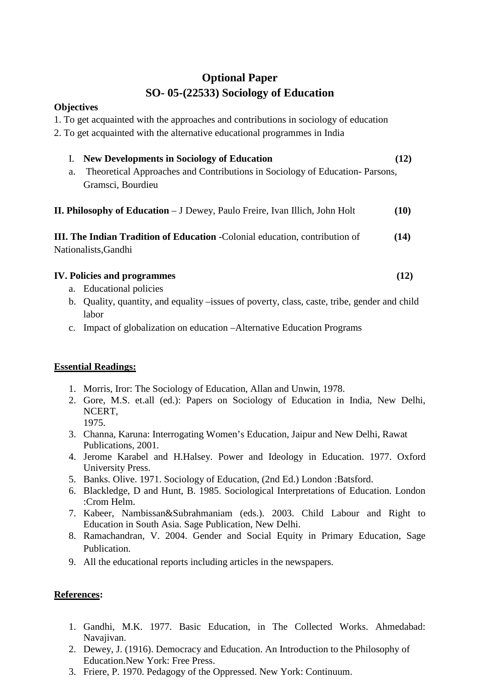# **Optional Paper SO- 05-(22533) Sociology of Education**

### **Objectives**

1. To get acquainted with the approaches and contributions in sociology of education

2. To get acquainted with the alternative educational programmes in India

| <b>New Developments in Sociology of Education</b>                                                      | (12) |
|--------------------------------------------------------------------------------------------------------|------|
| Theoretical Approaches and Contributions in Sociology of Education-Parsons,<br>a.<br>Gramsci, Bourdieu |      |
| <b>II. Philosophy of Education</b> – J Dewey, Paulo Freire, Ivan Illich, John Holt                     | (10) |
| <b>III. The Indian Tradition of Education - Colonial education, contribution of</b>                    | (14) |
| Nationalists, Gandhi                                                                                   |      |

| <b>IV. Policies and programmes</b> |  |
|------------------------------------|--|
|                                    |  |

- a. Educational policies
- b. Quality, quantity, and equality –issues of poverty, class, caste, tribe, gender and child labor
- c. Impact of globalization on education –Alternative Education Programs

### **Essential Readings:**

- 1. Morris, Iror: The Sociology of Education, Allan and Unwin, 1978.
- 2. Gore, M.S. et.all (ed.): Papers on Sociology of Education in India, New Delhi, NCERT, 1975.
- 3. Channa, Karuna: Interrogating Women's Education, Jaipur and New Delhi, Rawat Publications, 2001.
- 4. Jerome Karabel and H.Halsey. Power and Ideology in Education. 1977. Oxford University Press.
- 5. Banks. Olive. 1971. Sociology of Education, (2nd Ed.) London :Batsford.
- 6. Blackledge, D and Hunt, B. 1985. Sociological Interpretations of Education. London :Crom Helm.
- 7. Kabeer, Nambissan&Subrahmaniam (eds.). 2003. Child Labour and Right to Education in South Asia. Sage Publication, New Delhi.
- 8. Ramachandran, V. 2004. Gender and Social Equity in Primary Education, Sage Publication.
- 9. All the educational reports including articles in the newspapers.

- 1. Gandhi, M.K. 1977. Basic Education, in The Collected Works. Ahmedabad: Navajivan.
- 2. Dewey, J. (1916). Democracy and Education. An Introduction to the Philosophy of Education.New York: Free Press.
- 3. Friere, P. 1970. Pedagogy of the Oppressed. New York: Continuum.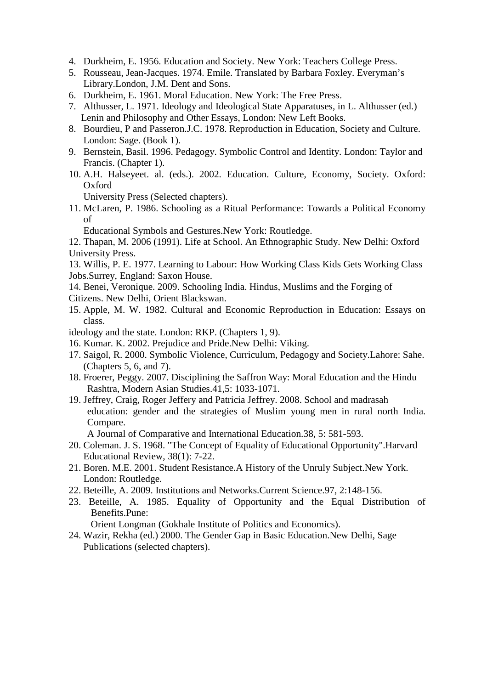- 4. Durkheim, E. 1956. Education and Society. New York: Teachers College Press.
- 5. Rousseau, Jean-Jacques. 1974. Emile. Translated by Barbara Foxley. Everyman's Library.London, J.M. Dent and Sons.
- 6. Durkheim, E. 1961. Moral Education. New York: The Free Press.
- 7. Althusser, L. 1971. Ideology and Ideological State Apparatuses, in L. Althusser (ed.) Lenin and Philosophy and Other Essays, London: New Left Books.
- 8. Bourdieu, P and Passeron.J.C. 1978. Reproduction in Education, Society and Culture. London: Sage. (Book 1).
- 9. Bernstein, Basil. 1996. Pedagogy. Symbolic Control and Identity. London: Taylor and Francis. (Chapter 1).
- 10. A.H. Halseyeet. al. (eds.). 2002. Education. Culture, Economy, Society. Oxford: Oxford

University Press (Selected chapters).

11. McLaren, P. 1986. Schooling as a Ritual Performance: Towards a Political Economy of

Educational Symbols and Gestures.New York: Routledge.

12. Thapan, M. 2006 (1991). Life at School. An Ethnographic Study. New Delhi: Oxford University Press.

13. Willis, P. E. 1977. Learning to Labour: How Working Class Kids Gets Working Class Jobs.Surrey, England: Saxon House.

- 14. Benei, Veronique. 2009. Schooling India. Hindus, Muslims and the Forging of
- Citizens. New Delhi, Orient Blackswan.
- 15. Apple, M. W. 1982. Cultural and Economic Reproduction in Education: Essays on class.
- ideology and the state. London: RKP. (Chapters 1, 9).
- 16. Kumar. K. 2002. Prejudice and Pride.New Delhi: Viking.
- 17. Saigol, R. 2000. Symbolic Violence, Curriculum, Pedagogy and Society.Lahore: Sahe. (Chapters 5, 6, and 7).
- 18. Froerer, Peggy. 2007. Disciplining the Saffron Way: Moral Education and the Hindu Rashtra, Modern Asian Studies.41,5: 1033-1071.
- 19. Jeffrey, Craig, Roger Jeffery and Patricia Jeffrey. 2008. School and madrasah education: gender and the strategies of Muslim young men in rural north India. Compare.

A Journal of Comparative and International Education.38, 5: 581-593.

- 20. Coleman. J. S. 1968. "The Concept of Equality of Educational Opportunity".Harvard Educational Review, 38(1): 7-22.
- 21. Boren. M.E. 2001. Student Resistance.A History of the Unruly Subject.New York. London: Routledge.
- 22. Beteille, A. 2009. Institutions and Networks.Current Science.97, 2:148-156.
- 23. Beteille, A. 1985. Equality of Opportunity and the Equal Distribution of Benefits.Pune:

Orient Longman (Gokhale Institute of Politics and Economics).

 24. Wazir, Rekha (ed.) 2000. The Gender Gap in Basic Education.New Delhi, Sage Publications (selected chapters).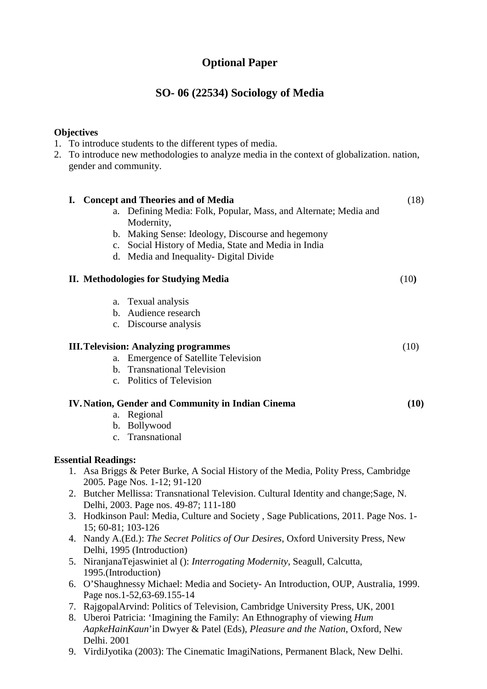# **Optional Paper**

# **SO- 06 (22534) Sociology of Media**

### **Objectives**

|  | 1. To introduce students to the different types of media. |  |  |  |  |
|--|-----------------------------------------------------------|--|--|--|--|
|--|-----------------------------------------------------------|--|--|--|--|

2. To introduce new methodologies to analyze media in the context of globalization. nation, gender and community.

| a.                         | I. Concept and Theories and of Media<br>Defining Media: Folk, Popular, Mass, and Alternate; Media and | (18) |
|----------------------------|-------------------------------------------------------------------------------------------------------|------|
|                            | Modernity,                                                                                            |      |
|                            | b. Making Sense: Ideology, Discourse and hegemony                                                     |      |
|                            | c. Social History of Media, State and Media in India                                                  |      |
|                            | d. Media and Inequality- Digital Divide                                                               |      |
|                            | <b>II.</b> Methodologies for Studying Media                                                           | (10) |
|                            | a. Texual analysis                                                                                    |      |
|                            | b. Audience research                                                                                  |      |
|                            | c. Discourse analysis                                                                                 |      |
|                            | <b>III. Television: Analyzing programmes</b>                                                          | (10) |
| a.                         | <b>Emergence of Satellite Television</b>                                                              |      |
|                            | b. Transnational Television                                                                           |      |
|                            | c. Politics of Television                                                                             |      |
|                            | <b>IV. Nation, Gender and Community in Indian Cinema</b>                                              | (10) |
| a.                         | Regional                                                                                              |      |
|                            | b. Bollywood                                                                                          |      |
|                            | c. Transnational                                                                                      |      |
| <b>Essential Readings:</b> |                                                                                                       |      |
|                            | 1. Asa Briggs & Peter Burke, A Social History of the Media, Polity Press, Cambridge                   |      |
|                            | 2005. Page Nos. 1-12; 91-120                                                                          |      |
|                            | 2. Butcher Mellissa: Transnational Television. Cultural Identity and change; Sage, N.                 |      |
|                            | Delhi, 2003. Page nos. 49-87; 111-180                                                                 |      |
|                            | 3. Hodkinson Paul: Media, Culture and Society, Sage Publications, 2011. Page Nos. 1-                  |      |
|                            | 15; 60-81; 103-126                                                                                    |      |
|                            | 4. Nandy A.(Ed.): The Secret Politics of Our Desires, Oxford University Press, New                    |      |
|                            | Delhi, 1995 (Introduction)                                                                            |      |
|                            | 5. NiranjanaTejaswiniet al (): Interrogating Modernity, Seagull, Calcutta,                            |      |
|                            | 1995.(Introduction)                                                                                   |      |
|                            | 6. O'Shaughnessy Michael: Media and Society- An Introduction, OUP, Australia, 1999.                   |      |
|                            | Page nos.1-52,63-69.155-14                                                                            |      |

- 7. RajgopalArvind: Politics of Television, Cambridge University Press, UK, 2001
- 8. Uberoi Patricia: 'Imagining the Family: An Ethnography of viewing *Hum AapkeHainKaun*'in Dwyer & Patel (Eds), *Pleasure and the Nation*, Oxford, New Delhi. 2001
- 9. VirdiJyotika (2003): The Cinematic ImagiNations, Permanent Black, New Delhi.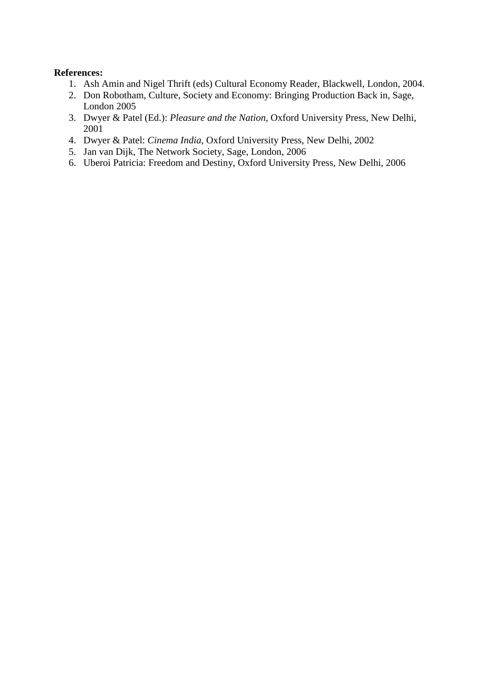- 1. Ash Amin and Nigel Thrift (eds) Cultural Economy Reader, Blackwell, London, 2004.
- 2. Don Robotham, Culture, Society and Economy: Bringing Production Back in, Sage, London 2005
- 3. Dwyer & Patel (Ed.): *Pleasure and the Nation*, Oxford University Press, New Delhi, 2001
- 4. Dwyer & Patel: *Cinema India*, Oxford University Press, New Delhi, 2002
- 5. Jan van Dijk, The Network Society, Sage, London, 2006
- 6. Uberoi Patricia: Freedom and Destiny, Oxford University Press, New Delhi, 2006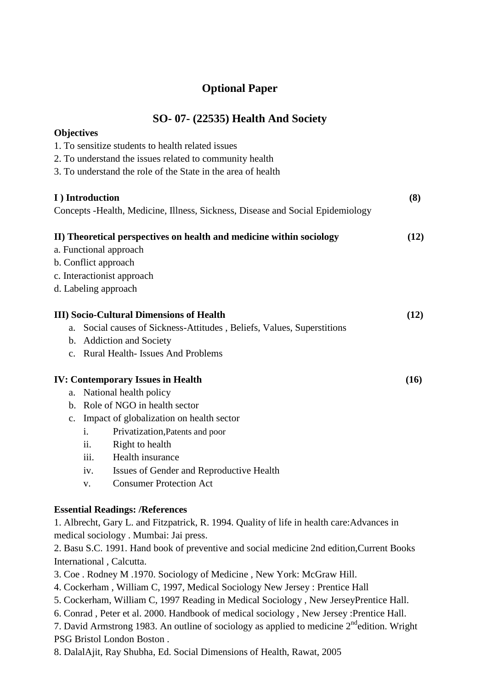# **Optional Paper**

|  |  |  |  | <b>SO- 07- (22535) Health And Society</b> |
|--|--|--|--|-------------------------------------------|
|--|--|--|--|-------------------------------------------|

| <b>Objectives</b> |                 |                                                                                            |      |
|-------------------|-----------------|--------------------------------------------------------------------------------------------|------|
|                   |                 | 1. To sensitize students to health related issues                                          |      |
|                   |                 | 2. To understand the issues related to community health                                    |      |
|                   |                 | 3. To understand the role of the State in the area of health                               |      |
|                   |                 |                                                                                            |      |
|                   | I) Introduction |                                                                                            | (8)  |
|                   |                 | Concepts - Health, Medicine, Illness, Sickness, Disease and Social Epidemiology            |      |
|                   |                 | II) Theoretical perspectives on health and medicine within sociology                       | (12) |
|                   |                 | a. Functional approach                                                                     |      |
|                   |                 | b. Conflict approach                                                                       |      |
|                   |                 | c. Interactionist approach                                                                 |      |
|                   |                 | d. Labeling approach                                                                       |      |
|                   |                 | <b>III)</b> Socio-Cultural Dimensions of Health                                            | (12) |
| a.                |                 | Social causes of Sickness-Attitudes, Beliefs, Values, Superstitions                        |      |
|                   |                 | b. Addiction and Society                                                                   |      |
|                   |                 | c. Rural Health-Issues And Problems                                                        |      |
|                   |                 |                                                                                            |      |
|                   |                 | <b>IV: Contemporary Issues in Health</b>                                                   | (16) |
| a.                |                 | National health policy                                                                     |      |
|                   |                 | b. Role of NGO in health sector                                                            |      |
| $C_{\bullet}$     |                 | Impact of globalization on health sector                                                   |      |
|                   | i.              | Privatization, Patents and poor                                                            |      |
|                   | ii.             | Right to health                                                                            |      |
|                   | iii.            | Health insurance                                                                           |      |
|                   | iv.             | Issues of Gender and Reproductive Health                                                   |      |
|                   | V.              | <b>Consumer Protection Act</b>                                                             |      |
|                   |                 | <b>Essential Readings: /References</b>                                                     |      |
|                   |                 | 1. Albrecht, Gary L. and Fitzpatrick, R. 1994. Quality of life in health care: Advances in |      |
|                   |                 | medical sociology. Mumbai: Jai press.                                                      |      |
|                   |                 | 2. Basu S.C. 1991. Hand book of preventive and social medicine 2nd edition, Current Books  |      |
|                   |                 | International, Calcutta.                                                                   |      |
|                   |                 | 3. Coe. Rodney M.1970. Sociology of Medicine, New York: McGraw Hill.                       |      |
|                   |                 | 4. Cockerham, William C, 1997, Medical Sociology New Jersey: Prentice Hall                 |      |
|                   |                 | 5. Cockerham, William C, 1997 Reading in Medical Sociology, New JerseyPrentice Hall.       |      |
|                   |                 | 6. Conrad, Peter et al. 2000. Handbook of medical sociology, New Jersey: Prentice Hall.    |      |

7. David Armstrong 1983. An outline of sociology as applied to medicine  $2^{nd}$ edition. Wright PSG Bristol London Boston .

8. DalalAjit, Ray Shubha, Ed. Social Dimensions of Health, Rawat, 2005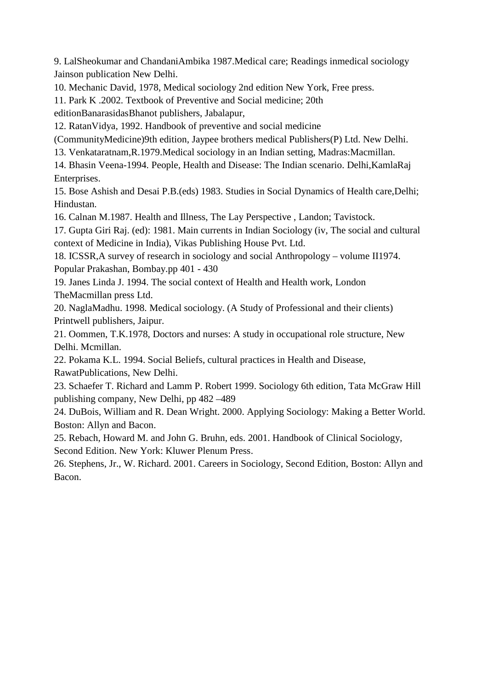9. LalSheokumar and ChandaniAmbika 1987.Medical care; Readings inmedical sociology Jainson publication New Delhi.

10. Mechanic David, 1978, Medical sociology 2nd edition New York, Free press.

11. Park K .2002. Textbook of Preventive and Social medicine; 20th

editionBanarasidasBhanot publishers, Jabalapur,

12. RatanVidya, 1992. Handbook of preventive and social medicine

(CommunityMedicine)9th edition, Jaypee brothers medical Publishers(P) Ltd. New Delhi.

13. Venkataratnam,R.1979.Medical sociology in an Indian setting, Madras:Macmillan.

14. Bhasin Veena-1994. People, Health and Disease: The Indian scenario. Delhi,KamlaRaj Enterprises.

15. Bose Ashish and Desai P.B.(eds) 1983. Studies in Social Dynamics of Health care,Delhi; Hindustan.

16. Calnan M.1987. Health and Illness, The Lay Perspective , Landon; Tavistock.

17. Gupta Giri Raj. (ed): 1981. Main currents in Indian Sociology (iv, The social and cultural context of Medicine in India), Vikas Publishing House Pvt. Ltd.

18. ICSSR,A survey of research in sociology and social Anthropology – volume II1974. Popular Prakashan, Bombay.pp 401 - 430

19. Janes Linda J. 1994. The social context of Health and Health work, London TheMacmillan press Ltd.

20. NaglaMadhu. 1998. Medical sociology. (A Study of Professional and their clients) Printwell publishers, Jaipur.

21. Oommen, T.K.1978, Doctors and nurses: A study in occupational role structure, New Delhi. Mcmillan.

22. Pokama K.L. 1994. Social Beliefs, cultural practices in Health and Disease, RawatPublications, New Delhi.

23. Schaefer T. Richard and Lamm P. Robert 1999. Sociology 6th edition, Tata McGraw Hill publishing company, New Delhi, pp 482 –489

24. DuBois, William and R. Dean Wright. 2000. Applying Sociology: Making a Better World. Boston: Allyn and Bacon.

25. Rebach, Howard M. and John G. Bruhn, eds. 2001. Handbook of Clinical Sociology, Second Edition. New York: Kluwer Plenum Press.

26. Stephens, Jr., W. Richard. 2001. Careers in Sociology, Second Edition, Boston: Allyn and Bacon.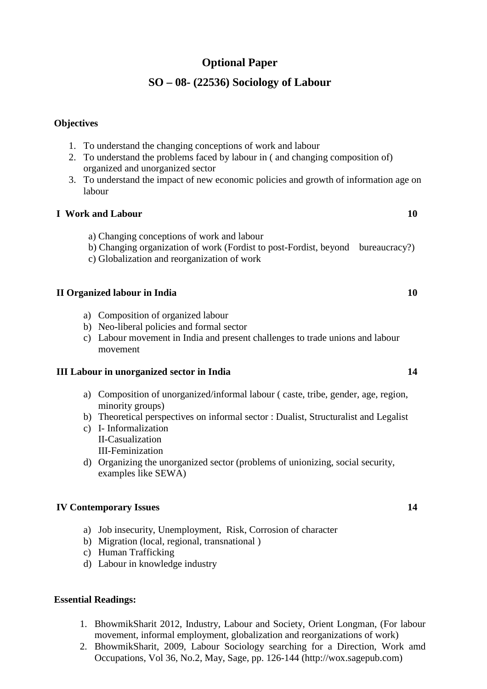# **Optional Paper**

### **SO – 08- (22536) Sociology of Labour**

#### **Objectives**

- 1. To understand the changing conceptions of work and labour
- 2. To understand the problems faced by labour in ( and changing composition of) organized and unorganized sector
- 3. To understand the impact of new economic policies and growth of information age on labour

#### **I Work and Labour 10**

- a) Changing conceptions of work and labour
- b) Changing organization of work (Fordist to post-Fordist, beyond bureaucracy?)
- c) Globalization and reorganization of work

#### **II Organized labour in India 10**

- a) Composition of organized labour
- b) Neo-liberal policies and formal sector
- c) Labour movement in India and present challenges to trade unions and labour movement

#### **III Labour in unorganized sector in India 14**

- a) Composition of unorganized/informal labour ( caste, tribe, gender, age, region, minority groups)
- b) Theoretical perspectives on informal sector : Dualist, Structuralist and Legalist
- c) I- Informalization II-Casualization III-Feminization
- d) Organizing the unorganized sector (problems of unionizing, social security, examples like SEWA)

### **IV Contemporary Issues 14**

- a) Job insecurity, Unemployment, Risk, Corrosion of character
- b) Migration (local, regional, transnational )
- c) Human Trafficking
- d) Labour in knowledge industry

#### **Essential Readings:**

- 1. BhowmikSharit 2012, Industry, Labour and Society, Orient Longman, (For labour movement, informal employment, globalization and reorganizations of work)
- 2. BhowmikSharit, 2009, Labour Sociology searching for a Direction, Work amd Occupations, Vol 36, No.2, May, Sage, pp. 126-144 (http://wox.sagepub.com)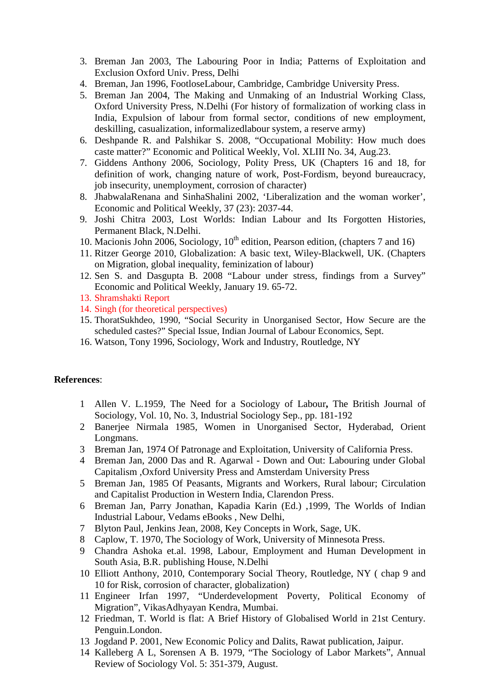- 3. Breman Jan 2003, The Labouring Poor in India; Patterns of Exploitation and Exclusion Oxford Univ. Press, Delhi
- 4. Breman, Jan 1996, FootloseLabour, Cambridge, Cambridge University Press.
- 5. Breman Jan 2004, The Making and Unmaking of an Industrial Working Class, Oxford University Press, N.Delhi (For history of formalization of working class in India, Expulsion of labour from formal sector, conditions of new employment, deskilling, casualization, informalizedlabour system, a reserve army)
- 6. Deshpande R. and Palshikar S. 2008, "Occupational Mobility: How much does caste matter?" Economic and Political Weekly, Vol. XLIII No. 34, Aug.23.
- 7. Giddens Anthony 2006, Sociology, Polity Press, UK (Chapters 16 and 18, for definition of work, changing nature of work, Post-Fordism, beyond bureaucracy, job insecurity, unemployment, corrosion of character)
- 8. JhabwalaRenana and SinhaShalini 2002, 'Liberalization and the woman worker', Economic and Political Weekly, 37 (23): 2037-44.
- 9. Joshi Chitra 2003, Lost Worlds: Indian Labour and Its Forgotten Histories, Permanent Black, N.Delhi.
- 10. Macionis John 2006, Sociology,  $10<sup>th</sup>$  edition, Pearson edition, (chapters 7 and 16)
- 11. Ritzer George 2010, Globalization: A basic text, Wiley-Blackwell, UK. (Chapters on Migration, global inequality, feminization of labour)
- 12. Sen S. and Dasgupta B. 2008 "Labour under stress, findings from a Survey" Economic and Political Weekly, January 19. 65-72.
- 13. Shramshakti Report
- 14. Singh (for theoretical perspectives)
- 15. ThoratSukhdeo, 1990, "Social Security in Unorganised Sector, How Secure are the scheduled castes?" Special Issue, Indian Journal of Labour Economics, Sept.
- 16. Watson, Tony 1996, Sociology, Work and Industry, Routledge, NY

- 1 Allen V. L.1959, The Need for a Sociology of Labour**,** The British Journal of Sociology*,* Vol. 10, No. 3, Industrial Sociology Sep., pp. 181-192
- 2 Banerjee Nirmala 1985, Women in Unorganised Sector, Hyderabad, Orient Longmans.
- 3 Breman Jan, 1974 Of Patronage and Exploitation, University of California Press.
- 4 Breman Jan, 2000 Das and R. Agarwal Down and Out: Labouring under Global Capitalism ,Oxford University Press and Amsterdam University Press
- 5 Breman Jan, 1985 Of Peasants, Migrants and Workers, Rural labour; Circulation and Capitalist Production in Western India, Clarendon Press.
- 6 Breman Jan, Parry Jonathan, Kapadia Karin (Ed.) ,1999, The Worlds of Indian Industrial Labour, Vedams eBooks , New Delhi,
- 7 Blyton Paul, Jenkins Jean, 2008, Key Concepts in Work, Sage, UK.
- 8 Caplow, T. 1970, The Sociology of Work, University of Minnesota Press.
- 9 Chandra Ashoka et.al. 1998, Labour, Employment and Human Development in South Asia, B.R. publishing House, N.Delhi
- 10 Elliott Anthony, 2010, Contemporary Social Theory, Routledge, NY ( chap 9 and 10 for Risk, corrosion of character, globalization)
- 11 Engineer Irfan 1997, "Underdevelopment Poverty, Political Economy of Migration", VikasAdhyayan Kendra, Mumbai.
- 12 Friedman, T. World is flat: A Brief History of Globalised World in 21st Century. Penguin.London.
- 13 Jogdand P. 2001, New Economic Policy and Dalits, Rawat publication, Jaipur.
- 14 Kalleberg A L, Sorensen A B. 1979, "The Sociology of Labor Markets", Annual Review of Sociology Vol. 5: 351-379, August.